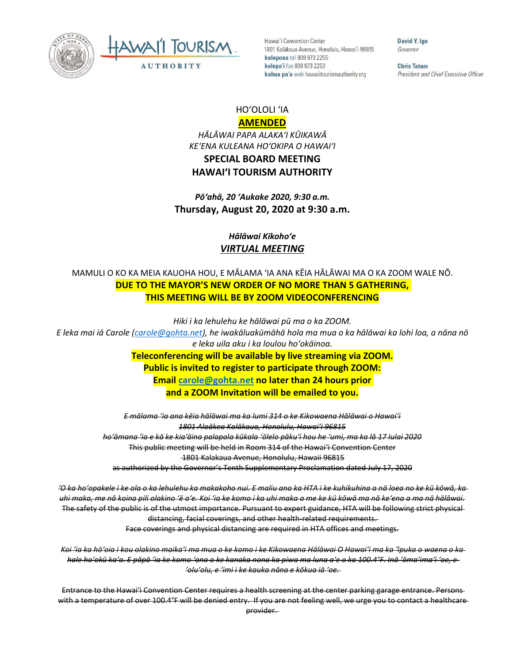



Hawai'i Convention Center 1801 Kalākaua Avenue, Honolulu, Hawai'i 96815 kelepona tel 808 973 2255 kelepa'i fax 808 973 2253 kahua pa'a web hawaiitourismauthority.org

David Y. Ige Governor

**Chris Tatum** President and Chief Executive Officer

## HOʻOLOLI ʻIA **AMENDED**

*HĀLĀWAI PAPA ALAKAʻI KŪIKAWĀ KEʻENA KULEANA HOʻOKIPA O HAWAIʻI* **SPECIAL BOARD MEETING HAWAI'I TOURISM AUTHORITY**

*Pōʻahā, 20 ʻAukake 2020, 9:30 a.m.* **Thursday, August 20, 2020 at 9:30 a.m.**

## *Hālāwai Kikohoʻe VIRTUAL MEETING*

## MAMULI O KO KA MEIA KAUOHA HOU, E MĀLAMA ʻIA ANA KĒIA HĀLĀWAI MA O KA ZOOM WALE NŌ. **DUE TO THE MAYOR'S NEW ORDER OF NO MORE THAN 5 GATHERING, THIS MEETING WILL BE BY ZOOM VIDEOCONFERENCING**

*Hiki i ka lehulehu ke hālāwai pū ma o ka ZOOM. E leka mai iā Carole ([carole@gohta.net](mailto:carole@gohta.net)), he iwakāluakūmāhā hola ma mua o ka hālāwai ka lohi loa, a nāna nō e leka uila aku i ka loulou hoʻokāinoa.*  **Teleconferencing will be available by live streaming via ZOOM. Public is invited to register to participate through ZOOM:**

**Email [carole@gohta.net](mailto:carole@gohta.net) no later than 24 hours prior and a ZOOM Invitation will be emailed to you.**

*E mālama ʻia ana kēia hālāwai ma ka lumi 314 o ke Kikowaena Hālāwai o Hawaiʻi 1801 Alaākea Kalākaua, Honolulu, Hawaiʻi 96815 hoʻāmana ʻia e kā ke kiaʻāina palapala kūkala ʻōlelo pākuʻi hou he ʻumi, ma ka lā 17 Iulai 2020* This public meeting will be held in Room 314 of the Hawaiʻi Convention Center 1801 Kalakaua Avenue, Honolulu, Hawaii 96815 as authorized by the Governor's Tenth Supplementary Proclamation dated July 17, 2020

*ʻO ka hoʻopakele i ke ola o ka lehulehu ka makakoho nui. E maliu ana ka HTA i ke kuhikuhina a nā loea no ke kū kōwā, ka uhi maka, me nā koina pili olakino ʻē aʻe. Koi ʻia ke komo i ka uhi maka a me ke kū kōwā ma nā keʻena a ma nā hālāwai.* The safety of the public is of the utmost importance. Pursuant to expert guidance, HTA will be following strict physical distancing, facial coverings, and other health-related requirements. Face coverings and physical distancing are required in HTA offices and meetings.

*Koi ʻia ka hōʻoia i kou olakino maikaʻi ma mua o ke komo i ke Kikowaena Hālāwai O Hawaiʻi ma ka ʻīpuka o waena o ka hale hoʻokū kaʻa. E pāpā ʻia ke komo ʻana o ke kanaka nona ka piwa ma luna aʻe o ka 100.4°F. Inā ʻōmaʻimaʻi ʻoe, e ʻoluʻolu, e ʻimi i ke kauka nāna e kōkua iā ʻoe.* 

Entrance to the Hawaiʻi Convention Center requires a health screening at the center parking garage entrance. Persons with a temperature of over 100.4°F will be denied entry. If you are not feeling well, we urge you to contact a healthcare provider.